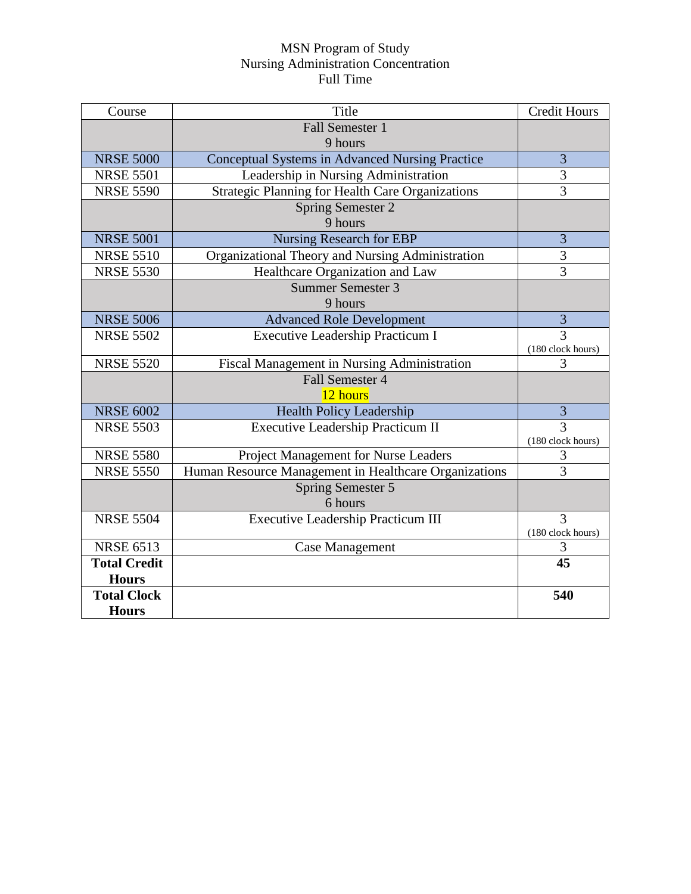## MSN Program of Study Nursing Administration Concentration Full Time

| Course              | Title                                                   | <b>Credit Hours</b> |
|---------------------|---------------------------------------------------------|---------------------|
|                     | <b>Fall Semester 1</b>                                  |                     |
|                     | 9 hours                                                 |                     |
| <b>NRSE 5000</b>    | Conceptual Systems in Advanced Nursing Practice         | 3                   |
| <b>NRSE 5501</b>    | Leadership in Nursing Administration                    | 3                   |
| <b>NRSE 5590</b>    | <b>Strategic Planning for Health Care Organizations</b> | $\overline{3}$      |
|                     | Spring Semester 2                                       |                     |
|                     | 9 hours                                                 |                     |
| <b>NRSE 5001</b>    | <b>Nursing Research for EBP</b>                         | 3                   |
| <b>NRSE 5510</b>    | Organizational Theory and Nursing Administration        | 3                   |
| <b>NRSE 5530</b>    | Healthcare Organization and Law                         | $\overline{3}$      |
|                     | Summer Semester 3                                       |                     |
|                     | 9 hours                                                 |                     |
| <b>NRSE 5006</b>    | <b>Advanced Role Development</b>                        | $\overline{3}$      |
| <b>NRSE 5502</b>    | <b>Executive Leadership Practicum I</b>                 | 3                   |
|                     |                                                         | (180 clock hours)   |
| <b>NRSE 5520</b>    | Fiscal Management in Nursing Administration             | 3                   |
|                     | Fall Semester 4                                         |                     |
|                     | 12 hours                                                |                     |
| <b>NRSE 6002</b>    | <b>Health Policy Leadership</b>                         | 3                   |
| <b>NRSE 5503</b>    | <b>Executive Leadership Practicum II</b>                | $\overline{3}$      |
| <b>NRSE 5580</b>    |                                                         | (180 clock hours)   |
| <b>NRSE 5550</b>    | Project Management for Nurse Leaders                    | 3<br>$\overline{3}$ |
|                     | Human Resource Management in Healthcare Organizations   |                     |
|                     | Spring Semester 5<br>6 hours                            |                     |
| <b>NRSE 5504</b>    |                                                         | 3                   |
|                     | <b>Executive Leadership Practicum III</b>               | (180 clock hours)   |
| <b>NRSE 6513</b>    | <b>Case Management</b>                                  | 3                   |
| <b>Total Credit</b> |                                                         | 45                  |
| <b>Hours</b>        |                                                         |                     |
| <b>Total Clock</b>  |                                                         | 540                 |
| <b>Hours</b>        |                                                         |                     |